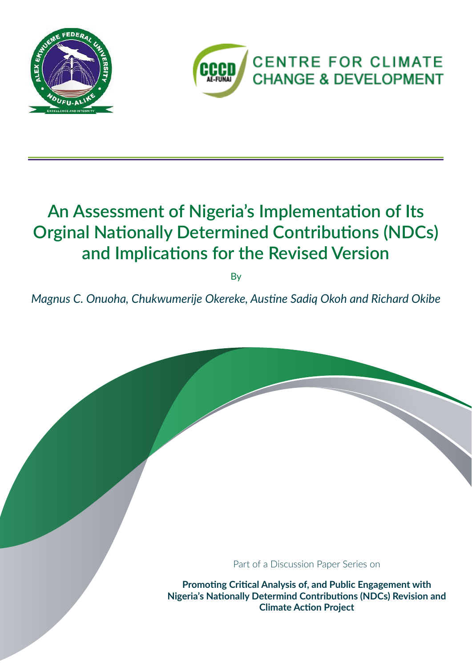



## **An Assessment of Nigeria's Implementation of Its Orginal Nationally Determined Contributions (NDCs) and Implications for the Revised Version**

By

*Magnus C. Onuoha, Chukwumerije Okereke, Austine Sadiq Okoh and Richard Okibe*

Part of a Discussion Paper Series on

**Promoting Critical Analysis of, and Public Engagement with Nigeria's Nationally Determind Contributions (NDCs) Revision and Climate Action Project**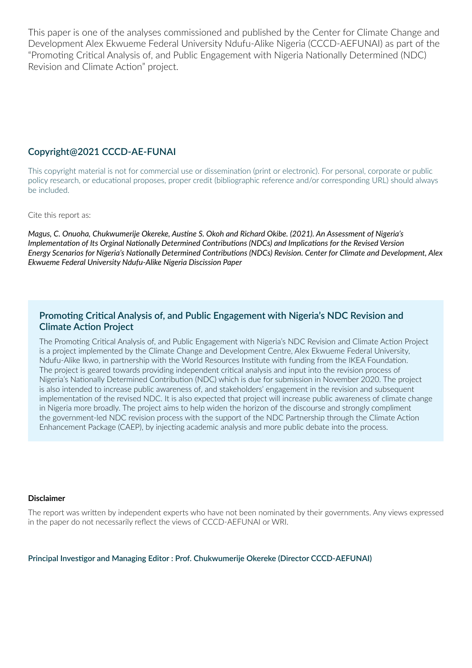This paper is one of the analyses commissioned and published by the Center for Climate Change and Development Alex Ekwueme Federal University Ndufu-Alike Nigeria (CCCD-AEFUNAI) as part of the "Promoting Critical Analysis of, and Public Engagement with Nigeria Nationally Determined (NDC) Revision and Climate Action" project.

#### **Copyright@2021 CCCD-AE-FUNAI**

This copyright material is not for commercial use or dissemination (print or electronic). For personal, corporate or public policy research, or educational proposes, proper credit (bibliographic reference and/or corresponding URL) should always be included.

Cite this report as:

*Magus, C. Onuoha, Chukwumerije Okereke, Austine S. Okoh and Richard Okibe. (2021). An Assessment of Nigeria's Implementation of Its Orginal Nationally Determined Contributions (NDCs) and Implications for the Revised Version Energy Scenarios for Nigeria's Nationally Determined Contributions (NDCs) Revision. Center for Climate and Development, Alex Ekwueme Federal University Ndufu-Alike Nigeria Discission Paper*

#### **Promoting Critical Analysis of, and Public Engagement with Nigeria's NDC Revision and Climate Action Project**

The Promoting Critical Analysis of, and Public Engagement with Nigeria's NDC Revision and Climate Action Project is a project implemented by the Climate Change and Development Centre, Alex Ekwueme Federal University, Ndufu-Alike Ikwo, in partnership with the World Resources Institute with funding from the IKEA Foundation. The project is geared towards providing independent critical analysis and input into the revision process of Nigeria's Nationally Determined Contribution (NDC) which is due for submission in November 2020. The project is also intended to increase public awareness of, and stakeholders' engagement in the revision and subsequent implementation of the revised NDC. It is also expected that project will increase public awareness of climate change in Nigeria more broadly. The project aims to help widen the horizon of the discourse and strongly compliment the government-led NDC revision process with the support of the NDC Partnership through the Climate Action Enhancement Package (CAEP), by injecting academic analysis and more public debate into the process.

#### **Disclaimer**

The report was written by independent experts who have not been nominated by their governments. Any views expressed in the paper do not necessarily reflect the views of CCCD-AEFUNAI or WRI.

**Principal Investigor and Managing Editor : Prof. Chukwumerije Okereke (Director CCCD-AEFUNAI)**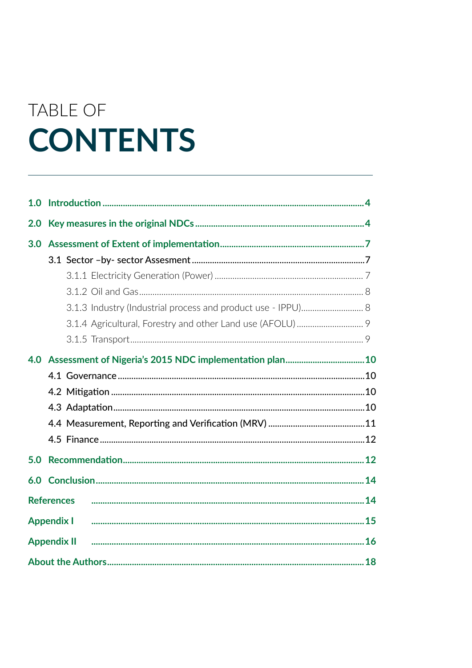# TABLE OF **CONTENTS**

| 1.0 |                    |  |
|-----|--------------------|--|
| 2.0 |                    |  |
| 3.0 |                    |  |
|     |                    |  |
|     |                    |  |
|     |                    |  |
|     |                    |  |
|     |                    |  |
|     |                    |  |
| 4.0 |                    |  |
|     |                    |  |
|     |                    |  |
|     |                    |  |
|     |                    |  |
|     |                    |  |
| 5.0 |                    |  |
| 6.0 |                    |  |
|     | <b>References</b>  |  |
|     | <b>Appendix I</b>  |  |
|     | <b>Appendix II</b> |  |
|     |                    |  |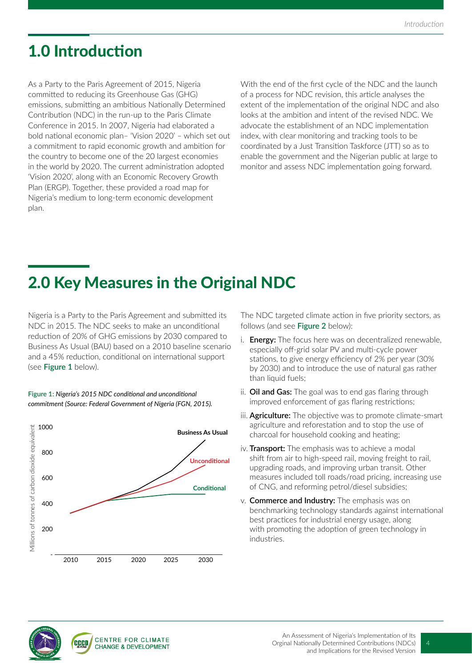## 1.0 Introduction

As a Party to the Paris Agreement of 2015, Nigeria committed to reducing its Greenhouse Gas (GHG) emissions, submitting an ambitious Nationally Determined Contribution (NDC) in the run-up to the Paris Climate Conference in 2015. In 2007, Nigeria had elaborated a bold national economic plan– 'Vision 2020' – which set out a commitment to rapid economic growth and ambition for the country to become one of the 20 largest economies in the world by 2020. The current administration adopted 'Vision 2020', along with an Economic Recovery Growth Plan (ERGP). Together, these provided a road map for Nigeria's medium to long-term economic development plan.

With the end of the first cycle of the NDC and the launch of a process for NDC revision, this article analyses the extent of the implementation of the original NDC and also looks at the ambition and intent of the revised NDC. We advocate the establishment of an NDC implementation index, with clear monitoring and tracking tools to be coordinated by a Just Transition Taskforce (JTT) so as to enable the government and the Nigerian public at large to monitor and assess NDC implementation going forward.

## 2.0 Key Measures in the Original NDC

Nigeria is a Party to the Paris Agreement and submitted its NDC in 2015. The NDC seeks to make an unconditional reduction of 20% of GHG emissions by 2030 compared to Business As Usual (BAU) based on a 2010 baseline scenario and a 45% reduction, conditional on international support (see **Figure 1** below).



**Figure 1:** *Nigeria's 2015 NDC conditional and unconditional commitment (Source: Federal Government of Nigeria (FGN, 2015).* The NDC targeted climate action in five priority sectors, as follows (and see **Figure 2** below):

- i. **Energy:** The focus here was on decentralized renewable, especially off-grid solar PV and multi-cycle power stations, to give energy efficiency of 2% per year (30% by 2030) and to introduce the use of natural gas rather than liquid fuels;
- ii. **Oil and Gas:** The goal was to end gas flaring through improved enforcement of gas flaring restrictions;
- iii. **Agriculture:** The objective was to promote climate-smart agriculture and reforestation and to stop the use of charcoal for household cooking and heating;
- iv. **Transport:** The emphasis was to achieve a modal shift from air to high-speed rail, moving freight to rail, upgrading roads, and improving urban transit. Other measures included toll roads/road pricing, increasing use of CNG, and reforming petrol/diesel subsidies;
- v. **Commerce and Industry:** The emphasis was on benchmarking technology standards against international best practices for industrial energy usage, along with promoting the adoption of green technology in industries.

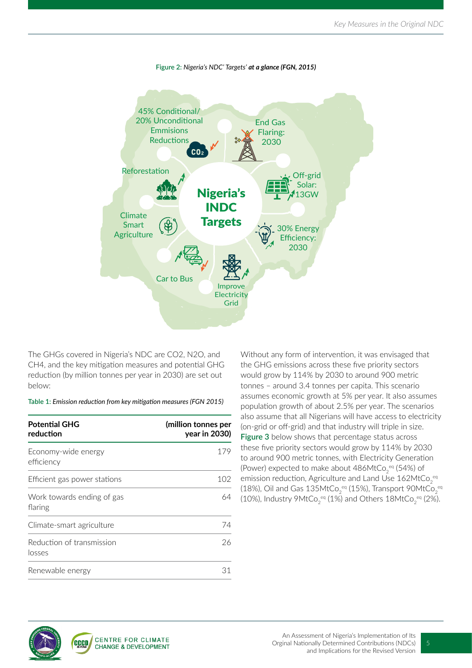

The GHGs covered in Nigeria's NDC are CO2, N2O, and CH4, and the key mitigation measures and potential GHG reduction (by million tonnes per year in 2030) are set out below:

**Table 1:** *Emission reduction from key mitigation measures (FGN 2015)*

| <b>Potential GHG</b><br>reduction     | (million tonnes per<br>year in 2030) |  |
|---------------------------------------|--------------------------------------|--|
| Economy-wide energy<br>efficiency     | 179                                  |  |
| Efficient gas power stations          | 102                                  |  |
| Work towards ending of gas<br>flaring | 64                                   |  |
| Climate-smart agriculture             | 74                                   |  |
| Reduction of transmission<br>losses   | 26                                   |  |
| Renewable energy                      | 31                                   |  |

Without any form of intervention, it was envisaged that the GHG emissions across these five priority sectors would grow by 114% by 2030 to around 900 metric tonnes – around 3.4 tonnes per capita. This scenario assumes economic growth at 5% per year. It also assumes population growth of about 2.5% per year. The scenarios also assume that all Nigerians will have access to electricity (on-grid or off-grid) and that industry will triple in size. **Figure 3** below shows that percentage status across these five priority sectors would grow by 114% by 2030 to around 900 metric tonnes, with Electricity Generation (Power) expected to make about 486MtCo $_2^{\,\text{eq}}$  (54%) of emission reduction, Agriculture and Land Use 162MtCo $_2^{\,\mathrm{eq}}$ (18%), Oil and Gas 135MtCo $_2^{\,\text{eq}}$  (15%), Transport 90MtCo $_2^{\,\text{eq}}$ (10%), Industry 9MtCo $_2^{\,\text{eq}}$  (1%) and Others 18MtCo $_2^{\,\text{eq}}$  (2%).

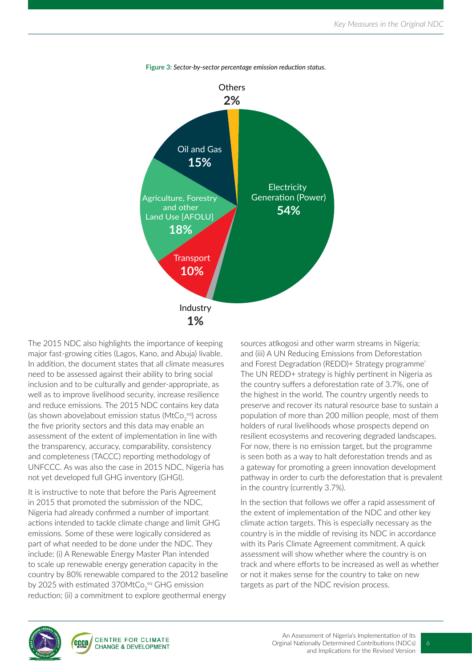



The 2015 NDC also highlights the importance of keeping major fast-growing cities (Lagos, Kano, and Abuja) livable. In addition, the document states that all climate measures need to be assessed against their ability to bring social inclusion and to be culturally and gender-appropriate, as well as to improve livelihood security, increase resilience and reduce emissions. The 2015 NDC contains key data (as shown above)about emission status (MtCo $_2^{\,\text{eq}}$ ) across the five priority sectors and this data may enable an assessment of the extent of implementation in line with the transparency, accuracy, comparability, consistency and completeness (TACCC) reporting methodology of UNFCCC. As was also the case in 2015 NDC, Nigeria has not yet developed full GHG inventory (GHGI).

It is instructive to note that before the Paris Agreement in 2015 that promoted the submission of the NDC, Nigeria had already confirmed a number of important actions intended to tackle climate change and limit GHG emissions. Some of these were logically considered as part of what needed to be done under the NDC. They include: (i) A Renewable Energy Master Plan intended to scale up renewable energy generation capacity in the country by 80% renewable compared to the 2012 baseline by 2025 with estimated 370MtCo $_2^{\,\text{eq}}$  GHG emission reduction; (ii) a commitment to explore geothermal energy

sources atIkogosi and other warm streams in Nigeria; and (iii) A UN Reducing Emissions from Deforestation and Forest Degradation (REDD)+ Strategy programme' The UN REDD+ strategy is highly pertinent in Nigeria as the country suffers a deforestation rate of 3.7%, one of the highest in the world. The country urgently needs to preserve and recover its natural resource base to sustain a population of more than 200 million people, most of them holders of rural livelihoods whose prospects depend on resilient ecosystems and recovering degraded landscapes. For now, there is no emission target, but the programme is seen both as a way to halt deforestation trends and as a gateway for promoting a green innovation development pathway in order to curb the deforestation that is prevalent in the country (currently 3.7%).

In the section that follows we offer a rapid assessment of the extent of implementation of the NDC and other key climate action targets. This is especially necessary as the country is in the middle of revising its NDC in accordance with its Paris Climate Agreement commitment. A quick assessment will show whether where the country is on track and where efforts to be increased as well as whether or not it makes sense for the country to take on new targets as part of the NDC revision process.

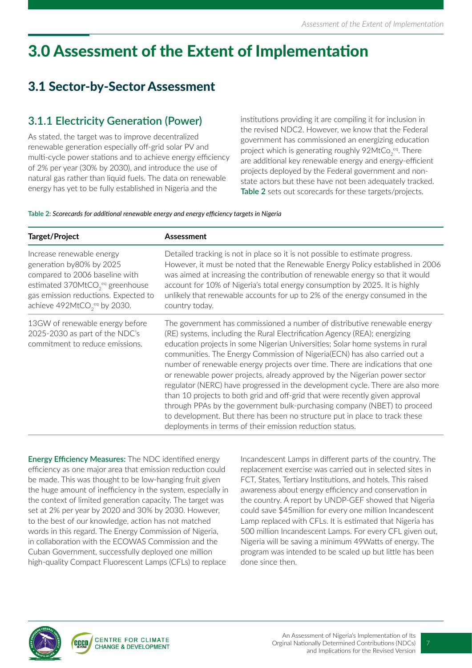## 3.0 Assessment of the Extent of Implementation

### 3.1 Sector-by-Sector Assessment

### **3.1.1 Electricity Generation (Power)**

As stated, the target was to improve decentralized renewable generation especially off-grid solar PV and multi-cycle power stations and to achieve energy efficiency of 2% per year (30% by 2030), and introduce the use of natural gas rather than liquid fuels. The data on renewable energy has yet to be fully established in Nigeria and the

institutions providing it are compiling it for inclusion in the revised NDC2. However, we know that the Federal government has commissioned an energizing education project which is generating roughly 92MtCo $_2^{\,\text{eq}}$ . There are additional key renewable energy and energy-efficient projects deployed by the Federal government and nonstate actors but these have not been adequately tracked. **Table 2** sets out scorecards for these targets/projects.

#### **Table 2:** *Scorecards for additional renewable energy and energy efficiency targets in Nigeria*

| Target/Project                                                                                                                                                                                                                         | Assessment                                                                                                                                                                                                                                                                                                                                                                                                                                                                                                                                                                                                                                                                                                                                                                                                                                                                    |  |
|----------------------------------------------------------------------------------------------------------------------------------------------------------------------------------------------------------------------------------------|-------------------------------------------------------------------------------------------------------------------------------------------------------------------------------------------------------------------------------------------------------------------------------------------------------------------------------------------------------------------------------------------------------------------------------------------------------------------------------------------------------------------------------------------------------------------------------------------------------------------------------------------------------------------------------------------------------------------------------------------------------------------------------------------------------------------------------------------------------------------------------|--|
| Increase renewable energy<br>generation by 80% by 2025<br>compared to 2006 baseline with<br>estimated 370MtCO <sub>2</sub> <sup>eq</sup> greenhouse<br>gas emission reductions. Expected to<br>achieve 492MtCO <sub>2eq</sub> by 2030. | Detailed tracking is not in place so it is not possible to estimate progress.<br>However, it must be noted that the Renewable Energy Policy established in 2006<br>was aimed at increasing the contribution of renewable energy so that it would<br>account for 10% of Nigeria's total energy consumption by 2025. It is highly<br>unlikely that renewable accounts for up to 2% of the energy consumed in the<br>country today.                                                                                                                                                                                                                                                                                                                                                                                                                                              |  |
| 13GW of renewable energy before<br>2025-2030 as part of the NDC's<br>commitment to reduce emissions.                                                                                                                                   | The government has commissioned a number of distributive renewable energy<br>(RE) systems, including the Rural Electrification Agency (REA); energizing<br>education projects in some Nigerian Universities; Solar home systems in rural<br>communities. The Energy Commission of Nigeria(ECN) has also carried out a<br>number of renewable energy projects over time. There are indications that one<br>or renewable power projects, already approved by the Nigerian power sector<br>regulator (NERC) have progressed in the development cycle. There are also more<br>than 10 projects to both grid and off-grid that were recently given approval<br>through PPAs by the government bulk-purchasing company (NBET) to proceed<br>to development. But there has been no structure put in place to track these<br>deployments in terms of their emission reduction status. |  |

**Energy Efficiency Measures:** The NDC identified energy efficiency as one major area that emission reduction could be made. This was thought to be low-hanging fruit given the huge amount of inefficiency in the system, especially in the context of limited generation capacity. The target was set at 2% per year by 2020 and 30% by 2030. However, to the best of our knowledge, action has not matched words in this regard. The Energy Commission of Nigeria, in collaboration with the ECOWAS Commission and the Cuban Government, successfully deployed one million high-quality Compact Fluorescent Lamps (CFLs) to replace

Incandescent Lamps in different parts of the country. The replacement exercise was carried out in selected sites in FCT, States, Tertiary Institutions, and hotels. This raised awareness about energy efficiency and conservation in the country. A report by UNDP-GEF showed that Nigeria could save \$45million for every one million Incandescent Lamp replaced with CFLs. It is estimated that Nigeria has 500 million Incandescent Lamps. For every CFL given out, Nigeria will be saving a minimum 49Watts of energy. The program was intended to be scaled up but little has been done since then.

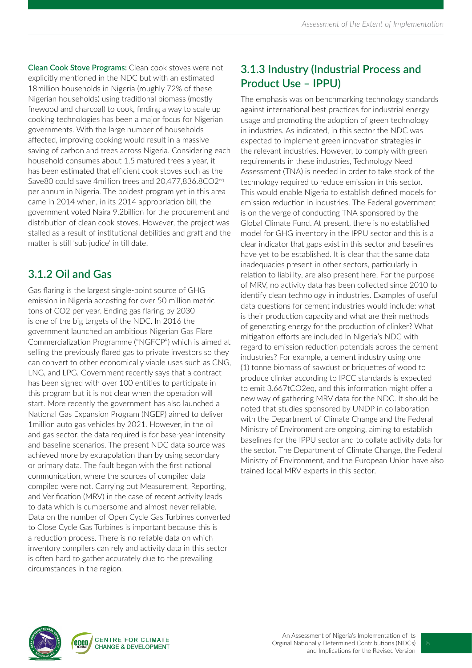**Clean Cook Stove Programs:** Clean cook stoves were not explicitly mentioned in the NDC but with an estimated 18million households in Nigeria (roughly 72% of these Nigerian households) using traditional biomass (mostly firewood and charcoal) to cook, finding a way to scale up cooking technologies has been a major focus for Nigerian governments. With the large number of households affected, improving cooking would result in a massive saving of carbon and trees across Nigeria. Considering each household consumes about 1.5 matured trees a year, it has been estimated that efficient cook stoves such as the Save80 could save 4million trees and 20,477,836.8CO2<sup>eq</sup> per annum in Nigeria. The boldest program yet in this area came in 2014 when, in its 2014 appropriation bill, the government voted Naira 9.2billion for the procurement and distribution of clean cook stoves. However, the project was stalled as a result of institutional debilities and graft and the matter is still 'sub judice' in till date.

### **3.1.2 Oil and Gas**

Gas flaring is the largest single-point source of GHG emission in Nigeria accosting for over 50 million metric tons of CO2 per year. Ending gas flaring by 2030 is one of the big targets of the NDC. In 2016 the government launched an ambitious Nigerian Gas Flare Commercialization Programme ("NGFCP") which is aimed at selling the previously flared gas to private investors so they can convert to other economically viable uses such as CNG, LNG, and LPG. Government recently says that a contract has been signed with over 100 entities to participate in this program but it is not clear when the operation will start. More recently the government has also launched a National Gas Expansion Program (NGEP) aimed to deliver 1million auto gas vehicles by 2021. However, in the oil and gas sector, the data required is for base-year intensity and baseline scenarios. The present NDC data source was achieved more by extrapolation than by using secondary or primary data. The fault began with the first national communication, where the sources of compiled data compiled were not. Carrying out Measurement, Reporting, and Verification (MRV) in the case of recent activity leads to data which is cumbersome and almost never reliable. Data on the number of Open Cycle Gas Turbines converted to Close Cycle Gas Turbines is important because this is a reduction process. There is no reliable data on which inventory compilers can rely and activity data in this sector is often hard to gather accurately due to the prevailing circumstances in the region.

### **3.1.3 Industry (Industrial Process and Product Use – IPPU)**

The emphasis was on benchmarking technology standards against international best practices for industrial energy usage and promoting the adoption of green technology in industries. As indicated, in this sector the NDC was expected to implement green innovation strategies in the relevant industries. However, to comply with green requirements in these industries, Technology Need Assessment (TNA) is needed in order to take stock of the technology required to reduce emission in this sector. This would enable Nigeria to establish defined models for emission reduction in industries. The Federal government is on the verge of conducting TNA sponsored by the Global Climate Fund. At present, there is no established model for GHG inventory in the IPPU sector and this is a clear indicator that gaps exist in this sector and baselines have yet to be established. It is clear that the same data inadequacies present in other sectors, particularly in relation to liability, are also present here. For the purpose of MRV, no activity data has been collected since 2010 to identify clean technology in industries. Examples of useful data questions for cement industries would include: what is their production capacity and what are their methods of generating energy for the production of clinker? What mitigation efforts are included in Nigeria's NDC with regard to emission reduction potentials across the cement industries? For example, a cement industry using one (1) tonne biomass of sawdust or briquettes of wood to produce clinker according to IPCC standards is expected to emit 3.667tCO2eq, and this information might offer a new way of gathering MRV data for the NDC. It should be noted that studies sponsored by UNDP in collaboration with the Department of Climate Change and the Federal Ministry of Environment are ongoing, aiming to establish baselines for the IPPU sector and to collate activity data for the sector. The Department of Climate Change, the Federal Ministry of Environment, and the European Union have also trained local MRV experts in this sector.

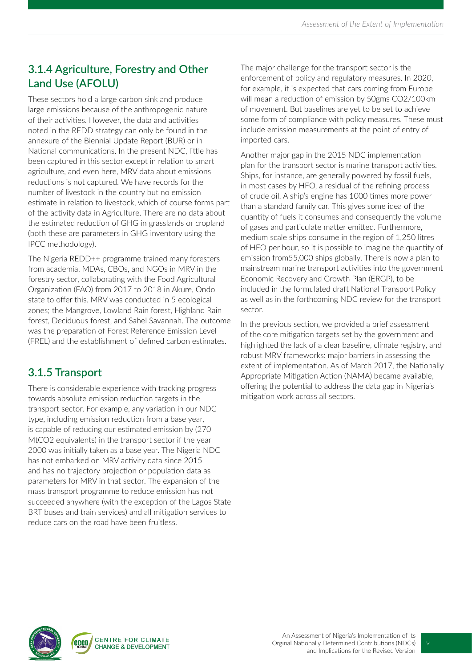### **3.1.4 Agriculture, Forestry and Other Land Use (AFOLU)**

These sectors hold a large carbon sink and produce large emissions because of the anthropogenic nature of their activities. However, the data and activities noted in the REDD strategy can only be found in the annexure of the Biennial Update Report (BUR) or in National communications. In the present NDC, little has been captured in this sector except in relation to smart agriculture, and even here, MRV data about emissions reductions is not captured. We have records for the number of livestock in the country but no emission estimate in relation to livestock, which of course forms part of the activity data in Agriculture. There are no data about the estimated reduction of GHG in grasslands or cropland (both these are parameters in GHG inventory using the IPCC methodology).

The Nigeria REDD++ programme trained many foresters from academia, MDAs, CBOs, and NGOs in MRV in the forestry sector, collaborating with the Food Agricultural Organization (FAO) from 2017 to 2018 in Akure, Ondo state to offer this. MRV was conducted in 5 ecological zones; the Mangrove, Lowland Rain forest, Highland Rain forest, Deciduous forest, and Sahel Savannah. The outcome was the preparation of Forest Reference Emission Level (FREL) and the establishment of defined carbon estimates.

### **3.1.5 Transport**

There is considerable experience with tracking progress towards absolute emission reduction targets in the transport sector. For example, any variation in our NDC type, including emission reduction from a base year, is capable of reducing our estimated emission by (270 MtCO2 equivalents) in the transport sector if the year 2000 was initially taken as a base year. The Nigeria NDC has not embarked on MRV activity data since 2015 and has no trajectory projection or population data as parameters for MRV in that sector. The expansion of the mass transport programme to reduce emission has not succeeded anywhere (with the exception of the Lagos State BRT buses and train services) and all mitigation services to reduce cars on the road have been fruitless.

The major challenge for the transport sector is the enforcement of policy and regulatory measures. In 2020, for example, it is expected that cars coming from Europe will mean a reduction of emission by 50gms CO2/100km of movement. But baselines are yet to be set to achieve some form of compliance with policy measures. These must include emission measurements at the point of entry of imported cars.

Another major gap in the 2015 NDC implementation plan for the transport sector is marine transport activities. Ships, for instance, are generally powered by fossil fuels, in most cases by HFO, a residual of the refining process of crude oil. A ship's engine has 1000 times more power than a standard family car. This gives some idea of the quantity of fuels it consumes and consequently the volume of gases and particulate matter emitted. Furthermore, medium scale ships consume in the region of 1,250 litres of HFO per hour, so it is possible to imagine the quantity of emission from55,000 ships globally. There is now a plan to mainstream marine transport activities into the government Economic Recovery and Growth Plan (ERGP), to be included in the formulated draft National Transport Policy as well as in the forthcoming NDC review for the transport sector.

In the previous section, we provided a brief assessment of the core mitigation targets set by the government and highlighted the lack of a clear baseline, climate registry, and robust MRV frameworks: major barriers in assessing the extent of implementation. As of March 2017, the Nationally Appropriate Mitigation Action (NAMA) became available, offering the potential to address the data gap in Nigeria's mitigation work across all sectors.

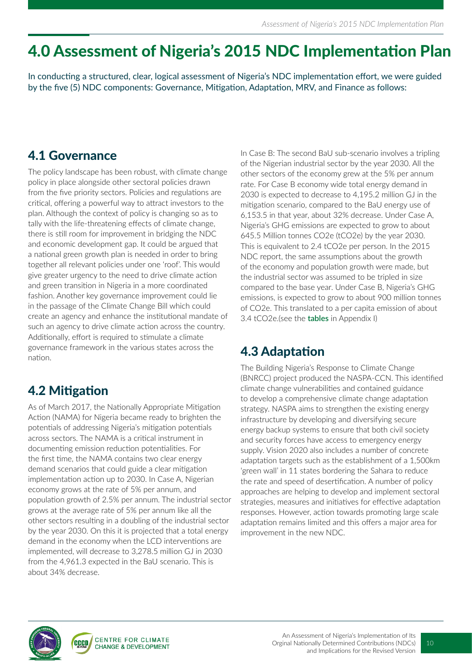## 4.0 Assessment of Nigeria's 2015 NDC Implementation Plan

In conducting a structured, clear, logical assessment of Nigeria's NDC implementation effort, we were guided by the five (5) NDC components: Governance, Mitigation, Adaptation, MRV, and Finance as follows:

### 4.1 Governance

The policy landscape has been robust, with climate change policy in place alongside other sectoral policies drawn from the five priority sectors. Policies and regulations are critical, offering a powerful way to attract investors to the plan. Although the context of policy is changing so as to tally with the life-threatening effects of climate change, there is still room for improvement in bridging the NDC and economic development gap. It could be argued that a national green growth plan is needed in order to bring together all relevant policies under one 'roof'. This would give greater urgency to the need to drive climate action and green transition in Nigeria in a more coordinated fashion. Another key governance improvement could lie in the passage of the Climate Change Bill which could create an agency and enhance the institutional mandate of such an agency to drive climate action across the country. Additionally, effort is required to stimulate a climate governance framework in the various states across the nation.

### 4.2 Mitigation

As of March 2017, the Nationally Appropriate Mitigation Action (NAMA) for Nigeria became ready to brighten the potentials of addressing Nigeria's mitigation potentials across sectors. The NAMA is a critical instrument in documenting emission reduction potentialities. For the first time, the NAMA contains two clear energy demand scenarios that could guide a clear mitigation implementation action up to 2030. In Case A, Nigerian economy grows at the rate of 5% per annum, and population growth of 2.5% per annum. The industrial sector grows at the average rate of 5% per annum like all the other sectors resulting in a doubling of the industrial sector by the year 2030. On this it is projected that a total energy demand in the economy when the LCD interventions are implemented, will decrease to 3,278.5 million GJ in 2030 from the 4,961.3 expected in the BaU scenario. This is about 34% decrease.

In Case B: The second BaU sub-scenario involves a tripling of the Nigerian industrial sector by the year 2030. All the other sectors of the economy grew at the 5% per annum rate. For Case B economy wide total energy demand in 2030 is expected to decrease to 4,195.2 million GJ in the mitigation scenario, compared to the BaU energy use of 6,153.5 in that year, about 32% decrease. Under Case A, Nigeria's GHG emissions are expected to grow to about 645.5 Million tonnes CO2e (tCO2e) by the year 2030. This is equivalent to 2.4 tCO2e per person. In the 2015 NDC report, the same assumptions about the growth of the economy and population growth were made, but the industrial sector was assumed to be tripled in size compared to the base year. Under Case B, Nigeria's GHG emissions, is expected to grow to about 900 million tonnes of CO2e. This translated to a per capita emission of about 3.4 tCO2e.(see the **tables** in Appendix I)

### 4.3 Adaptation

The Building Nigeria's Response to Climate Change (BNRCC) project produced the NASPA-CCN. This identified climate change vulnerabilities and contained guidance to develop a comprehensive climate change adaptation strategy. NASPA aims to strengthen the existing energy infrastructure by developing and diversifying secure energy backup systems to ensure that both civil society and security forces have access to emergency energy supply. Vision 2020 also includes a number of concrete adaptation targets such as the establishment of a 1,500km 'green wall' in 11 states bordering the Sahara to reduce the rate and speed of desertification. A number of policy approaches are helping to develop and implement sectoral strategies, measures and initiatives for effective adaptation responses. However, action towards promoting large scale adaptation remains limited and this offers a major area for improvement in the new NDC.

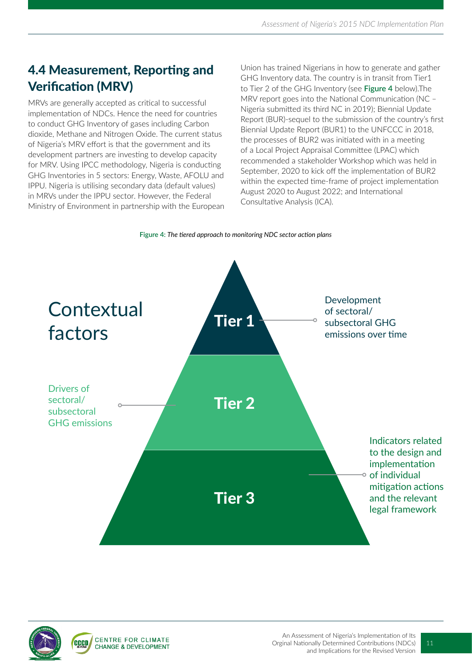### 4.4 Measurement, Reporting and Verification (MRV)

MRVs are generally accepted as critical to successful implementation of NDCs. Hence the need for countries to conduct GHG Inventory of gases including Carbon dioxide, Methane and Nitrogen Oxide. The current status of Nigeria's MRV effort is that the government and its development partners are investing to develop capacity for MRV. Using IPCC methodology, Nigeria is conducting GHG Inventories in 5 sectors: Energy, Waste, AFOLU and IPPU. Nigeria is utilising secondary data (default values) in MRVs under the IPPU sector. However, the Federal Ministry of Environment in partnership with the European

Union has trained Nigerians in how to generate and gather GHG Inventory data. The country is in transit from Tier1 to Tier 2 of the GHG Inventory (see **Figure 4** below).The MRV report goes into the National Communication (NC – Nigeria submitted its third NC in 2019); Biennial Update Report (BUR)-sequel to the submission of the country's first Biennial Update Report (BUR1) to the UNFCCC in 2018, the processes of BUR2 was initiated with in a meeting of a Local Project Appraisal Committee (LPAC) which recommended a stakeholder Workshop which was held in September, 2020 to kick off the implementation of BUR2 within the expected time-frame of project implementation August 2020 to August 2022; and International Consultative Analysis (ICA).





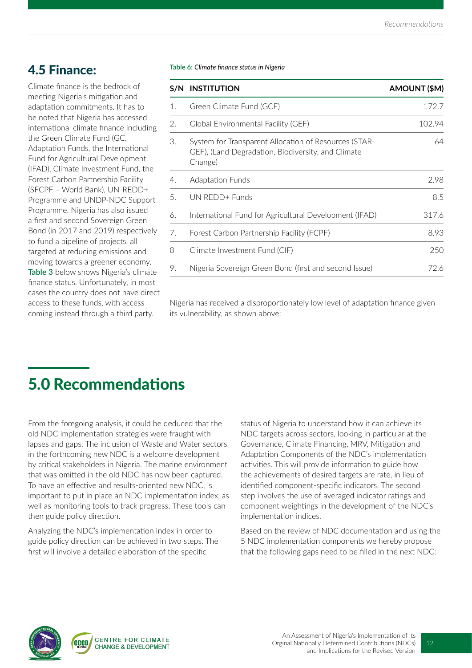### 4.5 Finance:

Climate finance is the bedrock of meeting Nigeria's mitigation and adaptation commitments. It has to be noted that Nigeria has accessed international climate finance including the Green Climate Fund (GC, Adaptation Funds, the International Fund for Agricultural Development (IFAD), Climate Investment Fund, the Forest Carbon Partnership Facility (SFCPF – World Bank), UN-REDD+ Programme and UNDP-NDC Support Programme. Nigeria has also issued a first and second Sovereign Green Bond (in 2017 and 2019) respectively to fund a pipeline of projects, all targeted at reducing emissions and moving towards a greener economy. **Table 3** below shows Nigeria's climate finance status. Unfortunately, in most cases the country does not have direct access to these funds, with access coming instead through a third party.

**Table 6:** *Climate finance status in Nigeria*

|    | S/N INSTITUTION                                                                                                        | AMOUNT (\$M) |
|----|------------------------------------------------------------------------------------------------------------------------|--------------|
| 1. | Green Climate Fund (GCF)                                                                                               | 172.7        |
| 2. | Global Environmental Facility (GEF)                                                                                    | 102.94       |
| 3. | System for Transparent Allocation of Resources (STAR-<br>GEF), (Land Degradation, Biodiversity, and Climate<br>Change) | 64           |
| 4. | <b>Adaptation Funds</b>                                                                                                | 2.98         |
| 5. | UN REDD+ Funds                                                                                                         | 8.5          |
| 6. | International Fund for Agricultural Development (IFAD)                                                                 | 317.6        |
| 7. | Forest Carbon Partnership Facility (FCPF)                                                                              | 8.93         |
| 8  | Climate Investment Fund (CIF)                                                                                          | 250          |
| 9. | Nigeria Sovereign Green Bond (first and second Issue)                                                                  | 72.6         |

Nigeria has received a disproportionately low level of adaptation finance given its vulnerability, as shown above:

## 5.0 Recommendations

From the foregoing analysis, it could be deduced that the old NDC implementation strategies were fraught with lapses and gaps. The inclusion of Waste and Water sectors in the forthcoming new NDC is a welcome development by critical stakeholders in Nigeria. The marine environment that was omitted in the old NDC has now been captured. To have an effective and results-oriented new NDC, is important to put in place an NDC implementation index, as well as monitoring tools to track progress. These tools can then guide policy direction.

Analyzing the NDC's implementation index in order to guide policy direction can be achieved in two steps. The first will involve a detailed elaboration of the specific

status of Nigeria to understand how it can achieve its NDC targets across sectors, looking in particular at the Governance, Climate Financing, MRV, Mitigation and Adaptation Components of the NDC's implementation activities. This will provide information to guide how the achievements of desired targets are rate, in lieu of identified component-specific indicators. The second step involves the use of averaged indicator ratings and component weightings in the development of the NDC's implementation indices.

Based on the review of NDC documentation and using the 5 NDC implementation components we hereby propose that the following gaps need to be filled in the next NDC:

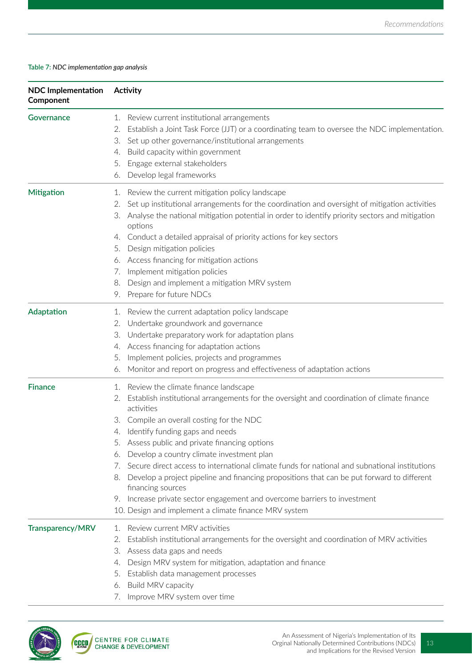#### **Table 7:** *NDC implementation gap analysis*

| <b>NDC Implementation</b><br>Component | Activity                                                                                                                                                                                                                                                                                                                                                                                                                                                                                                                                                                                                                                                                                                                            |  |  |  |
|----------------------------------------|-------------------------------------------------------------------------------------------------------------------------------------------------------------------------------------------------------------------------------------------------------------------------------------------------------------------------------------------------------------------------------------------------------------------------------------------------------------------------------------------------------------------------------------------------------------------------------------------------------------------------------------------------------------------------------------------------------------------------------------|--|--|--|
| Governance                             | Review current institutional arrangements<br>1.<br>Establish a Joint Task Force (JJT) or a coordinating team to oversee the NDC implementation.<br>2.<br>Set up other governance/institutional arrangements<br>3.<br>Build capacity within government<br>4.<br>Engage external stakeholders<br>5.<br>Develop legal frameworks<br>6.                                                                                                                                                                                                                                                                                                                                                                                                 |  |  |  |
| <b>Mitigation</b>                      | Review the current mitigation policy landscape<br>1.<br>Set up institutional arrangements for the coordination and oversight of mitigation activities<br>2.<br>Analyse the national mitigation potential in order to identify priority sectors and mitigation<br>3.<br>options<br>Conduct a detailed appraisal of priority actions for key sectors<br>4.<br>Design mitigation policies<br>5.<br>Access financing for mitigation actions<br>6.<br>Implement mitigation policies<br>7.<br>Design and implement a mitigation MRV system<br>8.<br>Prepare for future NDCs<br>9.                                                                                                                                                         |  |  |  |
| Adaptation                             | Review the current adaptation policy landscape<br>1.<br>Undertake groundwork and governance<br>2.<br>Undertake preparatory work for adaptation plans<br>3.<br>Access financing for adaptation actions<br>4.<br>Implement policies, projects and programmes<br>5.<br>Monitor and report on progress and effectiveness of adaptation actions<br>6.                                                                                                                                                                                                                                                                                                                                                                                    |  |  |  |
| <b>Finance</b>                         | Review the climate finance landscape<br>1.<br>Establish institutional arrangements for the oversight and coordination of climate finance<br>2.<br>activities<br>Compile an overall costing for the NDC<br>З.<br>Identify funding gaps and needs<br>4.<br>5. Assess public and private financing options<br>Develop a country climate investment plan<br>6.<br>Secure direct access to international climate funds for national and subnational institutions<br>7.<br>Develop a project pipeline and financing propositions that can be put forward to different<br>8.<br>financing sources<br>Increase private sector engagement and overcome barriers to investment<br>9.<br>10. Design and implement a climate finance MRV system |  |  |  |
| <b>Transparency/MRV</b>                | Review current MRV activities<br>$\mathbf{1}$ .<br>Establish institutional arrangements for the oversight and coordination of MRV activities<br>2.<br>Assess data gaps and needs<br>З.<br>Design MRV system for mitigation, adaptation and finance<br>4.<br>Establish data management processes<br>5.<br>Build MRV capacity<br>6.<br>7. Improve MRV system over time                                                                                                                                                                                                                                                                                                                                                                |  |  |  |



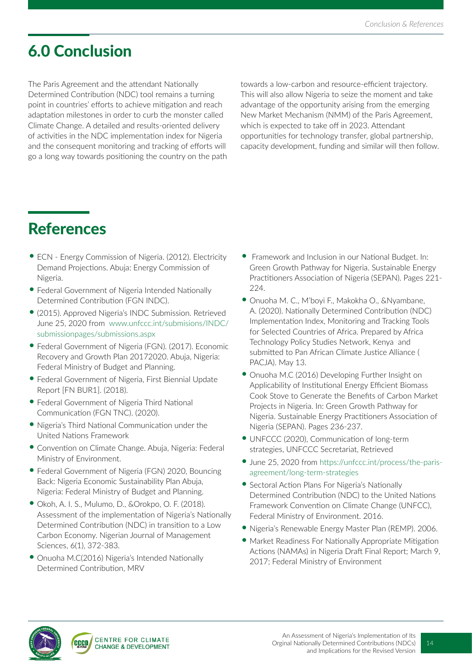## 6.0 Conclusion

The Paris Agreement and the attendant Nationally Determined Contribution (NDC) tool remains a turning point in countries' efforts to achieve mitigation and reach adaptation milestones in order to curb the monster called Climate Change. A detailed and results-oriented delivery of activities in the NDC implementation index for Nigeria and the consequent monitoring and tracking of efforts will go a long way towards positioning the country on the path

towards a low-carbon and resource-efficient trajectory. This will also allow Nigeria to seize the moment and take advantage of the opportunity arising from the emerging New Market Mechanism (NMM) of the Paris Agreement, which is expected to take off in 2023. Attendant opportunities for technology transfer, global partnership, capacity development, funding and similar will then follow.

## References

- ECN Energy Commission of Nigeria. (2012). Electricity Demand Projections. Abuja: Energy Commission of Nigeria.
- •Federal Government of Nigeria Intended Nationally Determined Contribution (FGN INDC).
- •(2015). Approved Nigeria's INDC Submission. Retrieved June 25, 2020 from www.unfccc.int/submisions/INDC/ submissionpages/submissions.aspx
- •Federal Government of Nigeria (FGN). (2017). Economic Recovery and Growth Plan 20172020. Abuja, Nigeria: Federal Ministry of Budget and Planning.
- •Federal Government of Nigeria, First Biennial Update Report [FN BUR1]. (2018).
- •Federal Government of Nigeria Third National Communication (FGN TNC). (2020).
- Nigeria's Third National Communication under the United Nations Framework
- Convention on Climate Change. Abuja, Nigeria: Federal Ministry of Environment.
- •Federal Government of Nigeria (FGN) 2020, Bouncing Back: Nigeria Economic Sustainability Plan Abuja, Nigeria: Federal Ministry of Budget and Planning.
- Okoh, A. I. S., Mulumo, D., &Orokpo, O. F. (2018). Assessment of the implementation of Nigeria's Nationally Determined Contribution (NDC) in transition to a Low Carbon Economy. Nigerian Journal of Management Sciences, 6(1), 372-383.
- Onuoha M.C(2016) Nigeria's Intended Nationally Determined Contribution, MRV
- Framework and Inclusion in our National Budget. In: Green Growth Pathway for Nigeria. Sustainable Energy Practitioners Association of Nigeria (SEPAN). Pages 221- 224.
- Onuoha M. C., M'boyi F., Makokha O., &Nyambane, A. (2020). Nationally Determined Contribution (NDC) Implementation Index, Monitoring and Tracking Tools for Selected Countries of Africa. Prepared by Africa Technology Policy Studies Network, Kenya and submitted to Pan African Climate Justice Alliance ( PACJA). May 13.
- Onuoha M.C (2016) Developing Further Insight on Applicability of Institutional Energy Efficient Biomass Cook Stove to Generate the Benefits of Carbon Market Projects in Nigeria. In: Green Growth Pathway for Nigeria. Sustainable Energy Practitioners Association of Nigeria (SEPAN). Pages 236-237.
- UNFCCC (2020), Communication of long-term strategies, UNFCCC Secretariat, Retrieved
- •June 25, 2020 from https://unfccc.int/process/the-parisagreement/long-term-strategies
- Sectoral Action Plans For Nigeria's Nationally Determined Contribution (NDC) to the United Nations Framework Convention on Climate Change (UNFCC), Federal Ministry of Environment. 2016.
- Nigeria's Renewable Energy Master Plan (REMP). 2006.
- Market Readiness For Nationally Appropriate Mitigation Actions (NAMAs) in Nigeria Draft Final Report; March 9, 2017; Federal Ministry of Environment

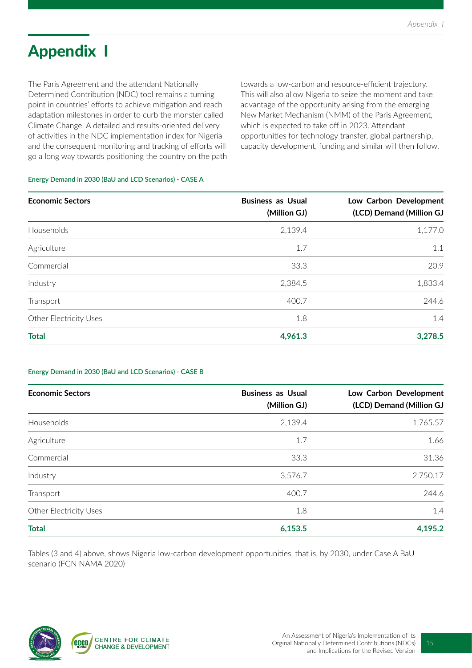## Appendix I

The Paris Agreement and the attendant Nationally Determined Contribution (NDC) tool remains a turning point in countries' efforts to achieve mitigation and reach adaptation milestones in order to curb the monster called Climate Change. A detailed and results-oriented delivery of activities in the NDC implementation index for Nigeria and the consequent monitoring and tracking of efforts will go a long way towards positioning the country on the path

towards a low-carbon and resource-efficient trajectory. This will also allow Nigeria to seize the moment and take advantage of the opportunity arising from the emerging New Market Mechanism (NMM) of the Paris Agreement, which is expected to take off in 2023. Attendant opportunities for technology transfer, global partnership, capacity development, funding and similar will then follow.

#### **Energy Demand in 2030 (BaU and LCD Scenarios) - CASE A**

| <b>Economic Sectors</b> | <b>Business as Usual</b><br>(Million GJ) | Low Carbon Development<br>(LCD) Demand (Million GJ |
|-------------------------|------------------------------------------|----------------------------------------------------|
| Households              | 2,139.4                                  | 1,177.0                                            |
| Agriculture             | 1.7                                      | 1.1                                                |
| Commercial              | 33.3                                     | 20.9                                               |
| Industry                | 2,384.5                                  | 1,833.4                                            |
| Transport               | 400.7                                    | 244.6                                              |
| Other Electricity Uses  | 1.8                                      | 1.4                                                |
| <b>Total</b>            | 4,961.3                                  | 3,278.5                                            |

#### **Energy Demand in 2030 (BaU and LCD Scenarios) - CASE B**

| <b>Economic Sectors</b> | <b>Business as Usual</b><br>(Million GJ) | Low Carbon Development<br>(LCD) Demand (Million GJ |
|-------------------------|------------------------------------------|----------------------------------------------------|
| Households              | 2,139.4                                  | 1,765.57                                           |
| Agriculture             | 1.7                                      | 1.66                                               |
| Commercial              | 33.3                                     | 31.36                                              |
| Industry                | 3,576.7                                  | 2,750.17                                           |
| Transport               | 400.7                                    | 244.6                                              |
| Other Electricity Uses  | 1.8                                      | 1.4                                                |
| <b>Total</b>            | 6,153.5                                  | 4,195.2                                            |

Tables (3 and 4) above, shows Nigeria low-carbon development opportunities, that is, by 2030, under Case A BaU scenario (FGN NAMA 2020)

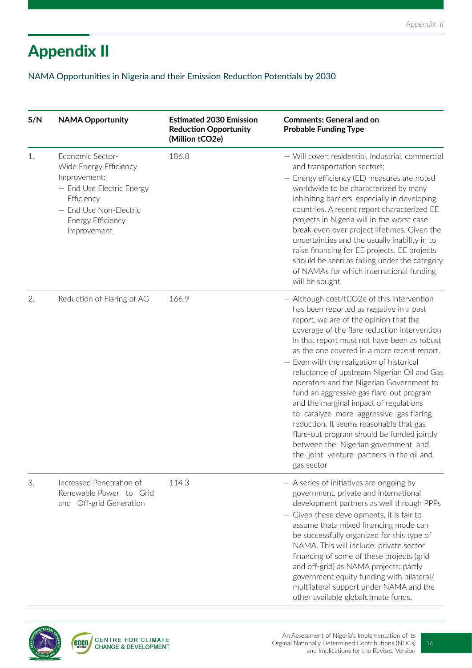## Appendix II

NAMA Opportunities in Nigeria and their Emission Reduction Potentials by 2030

| S/N | <b>NAMA Opportunity</b>                                                                                                                                             | <b>Estimated 2030 Emission</b><br><b>Reduction Opportunity</b><br>(Million tCO2e) | <b>Comments: General and on</b><br><b>Probable Funding Type</b>                                                                                                                                                                                                                                                                                                                                                                                                                                                                                                                                                                                                                                                                                   |
|-----|---------------------------------------------------------------------------------------------------------------------------------------------------------------------|-----------------------------------------------------------------------------------|---------------------------------------------------------------------------------------------------------------------------------------------------------------------------------------------------------------------------------------------------------------------------------------------------------------------------------------------------------------------------------------------------------------------------------------------------------------------------------------------------------------------------------------------------------------------------------------------------------------------------------------------------------------------------------------------------------------------------------------------------|
| 1.  | Economic Sector-<br>Wide Energy Efficiency<br>Improvement:<br>- End Use Electric Energy<br>Efficiency<br>- End Use Non-Electric<br>Energy Efficiency<br>Improvement | 186.8                                                                             | - Will cover: residential, industrial, commercial<br>and transportation sectors;<br>- Energy efficiency (EE) measures are noted<br>worldwide to be characterized by many<br>inhibiting barriers, especially in developing<br>countries. A recent report characterized EE<br>projects in Nigeria will in the worst case<br>break even over project lifetimes. Given the<br>uncertainties and the usually inability in to<br>raise financing for EE projects. EE projects<br>should be seen as falling under the category<br>of NAMAs for which international funding<br>will be sought.                                                                                                                                                            |
| 2.  | Reduction of Flaring of AG                                                                                                                                          | 166.9                                                                             | - Although cost/tCO2e of this intervention<br>has been reported as negative in a past<br>report, we are of the opinion that the<br>coverage of the flare reduction intervention<br>in that report must not have been as robust<br>as the one covered in a more recent report.<br>- Even with the realization of historical<br>reluctance of upstream Nigerian Oil and Gas<br>operators and the Nigerian Government to<br>fund an aggressive gas flare-out program<br>and the marginal impact of regulations<br>to catalyze more aggressive gas flaring<br>reduction. It seems reasonable that gas<br>flare-out program should be funded jointly<br>between the Nigerian government and<br>the joint venture partners in the oil and<br>gas sector |
| 3.  | Increased Penetration of<br>Renewable Power to Grid<br>and Off-grid Generation                                                                                      | 114.3                                                                             | - A series of initiatives are ongoing by<br>government, private and international<br>development partners as well through PPPs<br>- Given these developments, it is fair to<br>assume thata mixed financing mode can<br>be successfully organized for this type of<br>NAMA. This will include: private sector<br>financing of some of these projects (grid<br>and off-grid) as NAMA projects; partly<br>government equity funding with bilateral/<br>multilateral support under NAMA and the<br>other available globalclimate funds.                                                                                                                                                                                                              |

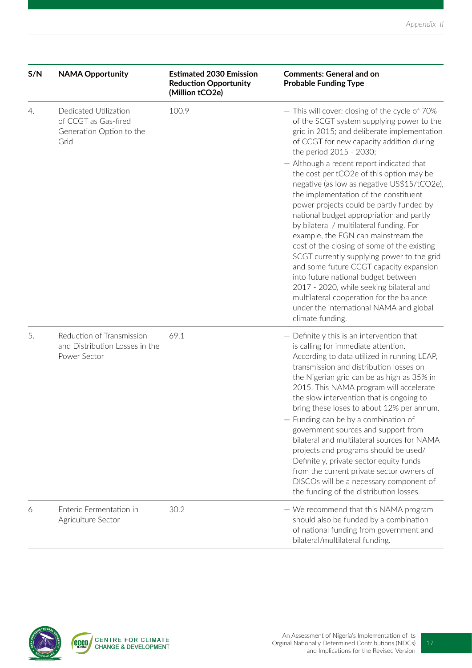| S/N | <b>NAMA Opportunity</b>                                                           | <b>Estimated 2030 Emission</b><br><b>Reduction Opportunity</b><br>(Million tCO2e) | <b>Comments: General and on</b><br><b>Probable Funding Type</b>                                                                                                                                                                                                                                                                                                                                                                                                                                                                                                                                                                                                                                                   |
|-----|-----------------------------------------------------------------------------------|-----------------------------------------------------------------------------------|-------------------------------------------------------------------------------------------------------------------------------------------------------------------------------------------------------------------------------------------------------------------------------------------------------------------------------------------------------------------------------------------------------------------------------------------------------------------------------------------------------------------------------------------------------------------------------------------------------------------------------------------------------------------------------------------------------------------|
| 4.  | Dedicated Utilization<br>of CCGT as Gas-fired<br>Generation Option to the<br>Grid | 100.9                                                                             | - This will cover: closing of the cycle of 70%<br>of the SCGT system supplying power to the<br>grid in 2015; and deliberate implementation<br>of CCGT for new capacity addition during<br>the period 2015 - 2030;                                                                                                                                                                                                                                                                                                                                                                                                                                                                                                 |
|     |                                                                                   |                                                                                   | - Although a recent report indicated that<br>the cost per tCO2e of this option may be<br>negative (as low as negative US\$15/tCO2e),<br>the implementation of the constituent<br>power projects could be partly funded by<br>national budget appropriation and partly<br>by bilateral / multilateral funding. For<br>example, the FGN can mainstream the<br>cost of the closing of some of the existing<br>SCGT currently supplying power to the grid<br>and some future CCGT capacity expansion<br>into future national budget between<br>2017 - 2020, while seeking bilateral and<br>multilateral cooperation for the balance<br>under the international NAMA and global<br>climate funding.                    |
| 5.  | Reduction of Transmission<br>and Distribution Losses in the<br>Power Sector       | 69.1                                                                              | - Definitely this is an intervention that<br>is calling for immediate attention.<br>According to data utilized in running LEAP,<br>transmission and distribution losses on<br>the Nigerian grid can be as high as 35% in<br>2015. This NAMA program will accelerate<br>the slow intervention that is ongoing to<br>bring these loses to about 12% per annum.<br>- Funding can be by a combination of<br>government sources and support from<br>bilateral and multilateral sources for NAMA<br>projects and programs should be used/<br>Definitely, private sector equity funds<br>from the current private sector owners of<br>DISCOs will be a necessary component of<br>the funding of the distribution losses. |
| 6   | Enteric Fermentation in<br>Agriculture Sector                                     | 30.2                                                                              | - We recommend that this NAMA program<br>should also be funded by a combination<br>of national funding from government and<br>bilateral/multilateral funding.                                                                                                                                                                                                                                                                                                                                                                                                                                                                                                                                                     |